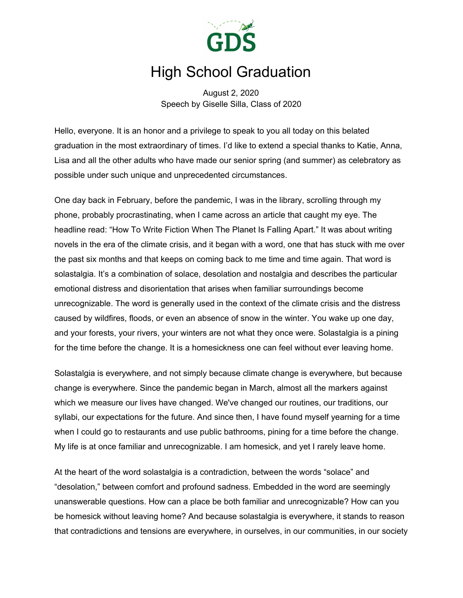

## High School Graduation

August 2, 2020 Speech by Giselle Silla, Class of 2020

Hello, everyone. It is an honor and a privilege to speak to you all today on this belated graduation in the most extraordinary of times. I'd like to extend a special thanks to Katie, Anna, Lisa and all the other adults who have made our senior spring (and summer) as celebratory as possible under such unique and unprecedented circumstances.

One day back in February, before the pandemic, I was in the library, scrolling through my phone, probably procrastinating, when I came across an article that caught my eye. The headline read: "How To Write Fiction When The Planet Is Falling Apart." It was about writing novels in the era of the climate crisis, and it began with a word, one that has stuck with me over the past six months and that keeps on coming back to me time and time again. That word is solastalgia. It's a combination of solace, desolation and nostalgia and describes the particular emotional distress and disorientation that arises when familiar surroundings become unrecognizable. The word is generally used in the context of the climate crisis and the distress caused by wildfires, floods, or even an absence of snow in the winter. You wake up one day, and your forests, your rivers, your winters are not what they once were. Solastalgia is a pining for the time before the change. It is a homesickness one can feel without ever leaving home.

Solastalgia is everywhere, and not simply because climate change is everywhere, but because change is everywhere. Since the pandemic began in March, almost all the markers against which we measure our lives have changed. We've changed our routines, our traditions, our syllabi, our expectations for the future. And since then, I have found myself yearning for a time when I could go to restaurants and use public bathrooms, pining for a time before the change. My life is at once familiar and unrecognizable. I am homesick, and yet I rarely leave home.

At the heart of the word solastalgia is a contradiction, between the words "solace" and "desolation," between comfort and profound sadness. Embedded in the word are seemingly unanswerable questions. How can a place be both familiar and unrecognizable? How can you be homesick without leaving home? And because solastalgia is everywhere, it stands to reason that contradictions and tensions are everywhere, in ourselves, in our communities, in our society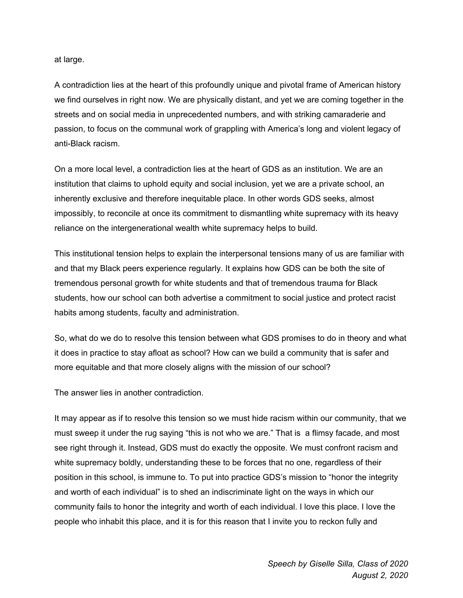at large.

A contradiction lies at the heart of this profoundly unique and pivotal frame of American history we find ourselves in right now. We are physically distant, and yet we are coming together in the streets and on social media in unprecedented numbers, and with striking camaraderie and passion, to focus on the communal work of grappling with America's long and violent legacy of anti-Black racism.

On a more local level, a contradiction lies at the heart of GDS as an institution. We are an institution that claims to uphold equity and social inclusion, yet we are a private school, an inherently exclusive and therefore inequitable place. In other words GDS seeks, almost impossibly, to reconcile at once its commitment to dismantling white supremacy with its heavy reliance on the intergenerational wealth white supremacy helps to build.

This institutional tension helps to explain the interpersonal tensions many of us are familiar with and that my Black peers experience regularly. It explains how GDS can be both the site of tremendous personal growth for white students and that of tremendous trauma for Black students, how our school can both advertise a commitment to social justice and protect racist habits among students, faculty and administration.

So, what do we do to resolve this tension between what GDS promises to do in theory and what it does in practice to stay afloat as school? How can we build a community that is safer and more equitable and that more closely aligns with the mission of our school?

The answer lies in another contradiction.

It may appear as if to resolve this tension so we must hide racism within our community, that we must sweep it under the rug saying "this is not who we are." That is a flimsy facade, and most see right through it. Instead, GDS must do exactly the opposite. We must confront racism and white supremacy boldly, understanding these to be forces that no one, regardless of their position in this school, is immune to. To put into practice GDS's mission to "honor the integrity and worth of each individual" is to shed an indiscriminate light on the ways in which our community fails to honor the integrity and worth of each individual. I love this place. I love the people who inhabit this place, and it is for this reason that I invite you to reckon fully and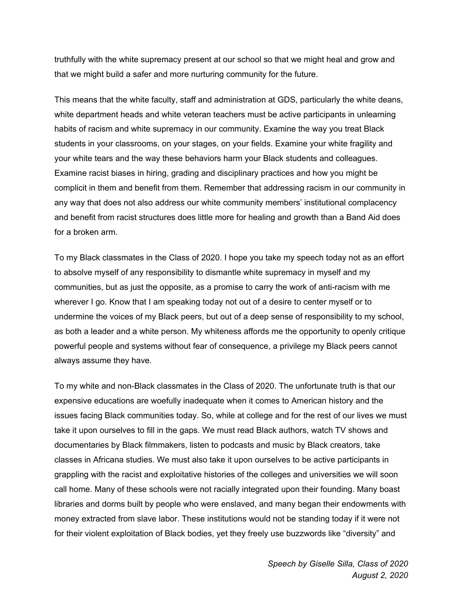truthfully with the white supremacy present at our school so that we might heal and grow and that we might build a safer and more nurturing community for the future.

This means that the white faculty, staff and administration at GDS, particularly the white deans, white department heads and white veteran teachers must be active participants in unlearning habits of racism and white supremacy in our community. Examine the way you treat Black students in your classrooms, on your stages, on your fields. Examine your white fragility and your white tears and the way these behaviors harm your Black students and colleagues. Examine racist biases in hiring, grading and disciplinary practices and how you might be complicit in them and benefit from them. Remember that addressing racism in our community in any way that does not also address our white community members' institutional complacency and benefit from racist structures does little more for healing and growth than a Band Aid does for a broken arm.

To my Black classmates in the Class of 2020. I hope you take my speech today not as an effort to absolve myself of any responsibility to dismantle white supremacy in myself and my communities, but as just the opposite, as a promise to carry the work of anti-racism with me wherever I go. Know that I am speaking today not out of a desire to center myself or to undermine the voices of my Black peers, but out of a deep sense of responsibility to my school, as both a leader and a white person. My whiteness affords me the opportunity to openly critique powerful people and systems without fear of consequence, a privilege my Black peers cannot always assume they have.

To my white and non-Black classmates in the Class of 2020. The unfortunate truth is that our expensive educations are woefully inadequate when it comes to American history and the issues facing Black communities today. So, while at college and for the rest of our lives we must take it upon ourselves to fill in the gaps. We must read Black authors, watch TV shows and documentaries by Black filmmakers, listen to podcasts and music by Black creators, take classes in Africana studies. We must also take it upon ourselves to be active participants in grappling with the racist and exploitative histories of the colleges and universities we will soon call home. Many of these schools were not racially integrated upon their founding. Many boast libraries and dorms built by people who were enslaved, and many began their endowments with money extracted from slave labor. These institutions would not be standing today if it were not for their violent exploitation of Black bodies, yet they freely use buzzwords like "diversity" and